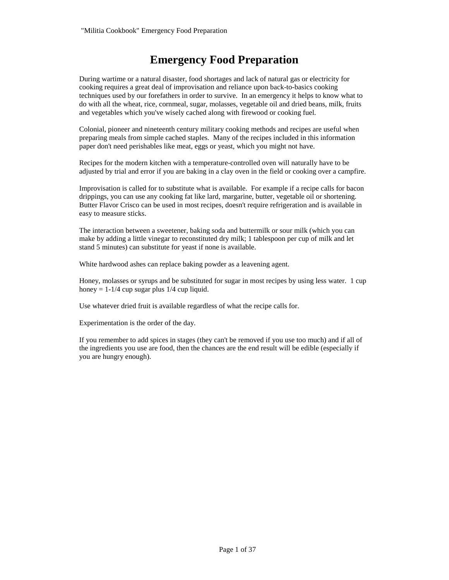# **Emergency Food Preparation**

During wartime or a natural disaster, food shortages and lack of natural gas or electricity for cooking requires a great deal of improvisation and reliance upon back-to-basics cooking techniques used by our forefathers in order to survive. In an emergency it helps to know what to do with all the wheat, rice, cornmeal, sugar, molasses, vegetable oil and dried beans, milk, fruits and vegetables which you've wisely cached along with firewood or cooking fuel.

Colonial, pioneer and nineteenth century military cooking methods and recipes are useful when preparing meals from simple cached staples. Many of the recipes included in this information paper don't need perishables like meat, eggs or yeast, which you might not have.

Recipes for the modern kitchen with a temperature-controlled oven will naturally have to be adjusted by trial and error if you are baking in a clay oven in the field or cooking over a campfire.

Improvisation is called for to substitute what is available. For example if a recipe calls for bacon drippings, you can use any cooking fat like lard, margarine, butter, vegetable oil or shortening. Butter Flavor Crisco can be used in most recipes, doesn't require refrigeration and is available in easy to measure sticks.

The interaction between a sweetener, baking soda and buttermilk or sour milk (which you can make by adding a little vinegar to reconstituted dry milk; 1 tablespoon per cup of milk and let stand 5 minutes) can substitute for yeast if none is available.

White hardwood ashes can replace baking powder as a leavening agent.

Honey, molasses or syrups and be substituted for sugar in most recipes by using less water. 1 cup honey  $= 1-1/4$  cup sugar plus  $1/4$  cup liquid.

Use whatever dried fruit is available regardless of what the recipe calls for.

Experimentation is the order of the day.

If you remember to add spices in stages (they can't be removed if you use too much) and if all of the ingredients you use are food, then the chances are the end result will be edible (especially if you are hungry enough).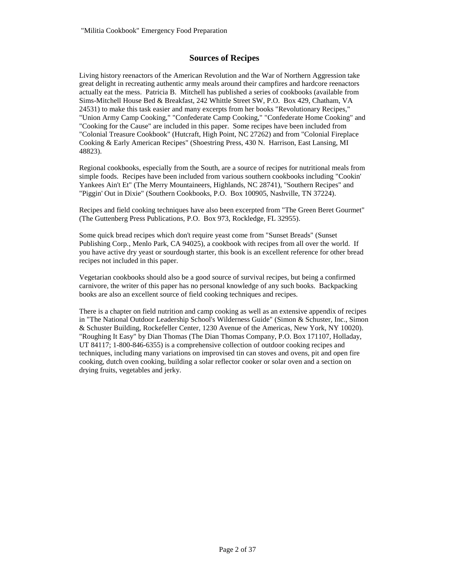# **Sources of Recipes**

Living history reenactors of the American Revolution and the War of Northern Aggression take great delight in recreating authentic army meals around their campfires and hardcore reenactors actually eat the mess. Patricia B. Mitchell has published a series of cookbooks (available from Sims-Mitchell House Bed & Breakfast, 242 Whittle Street SW, P.O. Box 429, Chatham, VA 24531) to make this task easier and many excerpts from her books "Revolutionary Recipes," "Union Army Camp Cooking," "Confederate Camp Cooking," "Confederate Home Cooking" and "Cooking for the Cause" are included in this paper. Some recipes have been included from "Colonial Treasure Cookbook" (Hutcraft, High Point, NC 27262) and from "Colonial Fireplace Cooking & Early American Recipes" (Shoestring Press, 430 N. Harrison, East Lansing, MI 48823).

Regional cookbooks, especially from the South, are a source of recipes for nutritional meals from simple foods. Recipes have been included from various southern cookbooks including "Cookin' Yankees Ain't Et" (The Merry Mountaineers, Highlands, NC 28741), "Southern Recipes" and "Piggin' Out in Dixie" (Southern Cookbooks, P.O. Box 100905, Nashville, TN 37224).

Recipes and field cooking techniques have also been excerpted from "The Green Beret Gourmet" (The Guttenberg Press Publications, P.O. Box 973, Rockledge, FL 32955).

Some quick bread recipes which don't require yeast come from "Sunset Breads" (Sunset Publishing Corp., Menlo Park, CA 94025), a cookbook with recipes from all over the world. If you have active dry yeast or sourdough starter, this book is an excellent reference for other bread recipes not included in this paper.

Vegetarian cookbooks should also be a good source of survival recipes, but being a confirmed carnivore, the writer of this paper has no personal knowledge of any such books. Backpacking books are also an excellent source of field cooking techniques and recipes.

There is a chapter on field nutrition and camp cooking as well as an extensive appendix of recipes in "The National Outdoor Leadership School's Wilderness Guide" (Simon & Schuster, Inc., Simon & Schuster Building, Rockefeller Center, 1230 Avenue of the Americas, New York, NY 10020). "Roughing It Easy" by Dian Thomas (The Dian Thomas Company, P.O. Box 171107, Holladay, UT 84117; 1-800-846-6355) is a comprehensive collection of outdoor cooking recipes and techniques, including many variations on improvised tin can stoves and ovens, pit and open fire cooking, dutch oven cooking, building a solar reflector cooker or solar oven and a section on drying fruits, vegetables and jerky.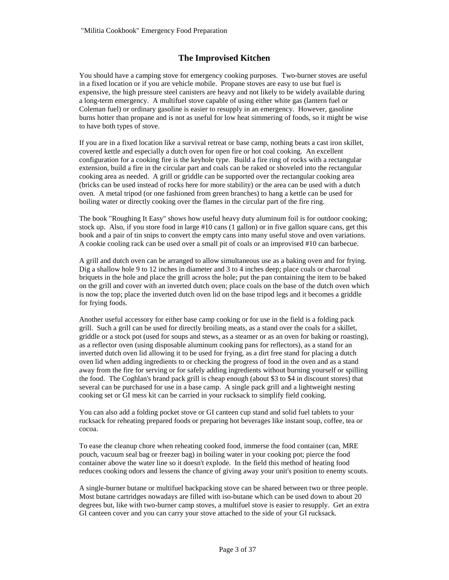# **The Improvised Kitchen**

You should have a camping stove for emergency cooking purposes. Two-burner stoves are useful in a fixed location or if you are vehicle mobile. Propane stoves are easy to use but fuel is expensive, the high pressure steel canisters are heavy and not likely to be widely available during a long-term emergency. A multifuel stove capable of using either white gas (lantern fuel or Coleman fuel) or ordinary gasoline is easier to resupply in an emergency. However, gasoline burns hotter than propane and is not as useful for low heat simmering of foods, so it might be wise to have both types of stove.

If you are in a fixed location like a survival retreat or base camp, nothing beats a cast iron skillet, covered kettle and especially a dutch oven for open fire or hot coal cooking. An excellent configuration for a cooking fire is the keyhole type. Build a fire ring of rocks with a rectangular extension, build a fire in the circular part and coals can be raked or shoveled into the rectangular cooking area as needed. A grill or griddle can be supported over the rectangular cooking area (bricks can be used instead of rocks here for more stability) or the area can be used with a dutch oven. A metal tripod (or one fashioned from green branches) to hang a kettle can be used for boiling water or directly cooking over the flames in the circular part of the fire ring.

The book "Roughing It Easy" shows how useful heavy duty aluminum foil is for outdoor cooking; stock up. Also, if you store food in large #10 cans (1 gallon) or in five gallon square cans, get this book and a pair of tin snips to convert the empty cans into many useful stove and oven variations. A cookie cooling rack can be used over a small pit of coals or an improvised #10 can barbecue.

A grill and dutch oven can be arranged to allow simultaneous use as a baking oven and for frying. Dig a shallow hole 9 to 12 inches in diameter and 3 to 4 inches deep; place coals or charcoal briquets in the hole and place the grill across the hole; put the pan containing the item to be baked on the grill and cover with an inverted dutch oven; place coals on the base of the dutch oven which is now the top; place the inverted dutch oven lid on the base tripod legs and it becomes a griddle for frying foods.

Another useful accessory for either base camp cooking or for use in the field is a folding pack grill. Such a grill can be used for directly broiling meats, as a stand over the coals for a skillet, griddle or a stock pot (used for soups and stews, as a steamer or as an oven for baking or roasting), as a reflector oven (using disposable aluminum cooking pans for reflectors), as a stand for an inverted dutch oven lid allowing it to be used for frying, as a dirt free stand for placing a dutch oven lid when adding ingredients to or checking the progress of food in the oven and as a stand away from the fire for serving or for safely adding ingredients without burning yourself or spilling the food. The Coghlan's brand pack grill is cheap enough (about \$3 to \$4 in discount stores) that several can be purchased for use in a base camp. A single pack grill and a lightweight nesting cooking set or GI mess kit can be carried in your rucksack to simplify field cooking.

You can also add a folding pocket stove or GI canteen cup stand and solid fuel tablets to your rucksack for reheating prepared foods or preparing hot beverages like instant soup, coffee, tea or cocoa.

To ease the cleanup chore when reheating cooked food, immerse the food container (can, MRE pouch, vacuum seal bag or freezer bag) in boiling water in your cooking pot; pierce the food container above the water line so it doesn't explode. In the field this method of heating food reduces cooking odors and lessens the chance of giving away your unit's position to enemy scouts.

A single-burner butane or multifuel backpacking stove can be shared between two or three people. Most butane cartridges nowadays are filled with iso-butane which can be used down to about 20 degrees but, like with two-burner camp stoves, a multifuel stove is easier to resupply. Get an extra GI canteen cover and you can carry your stove attached to the side of your GI rucksack.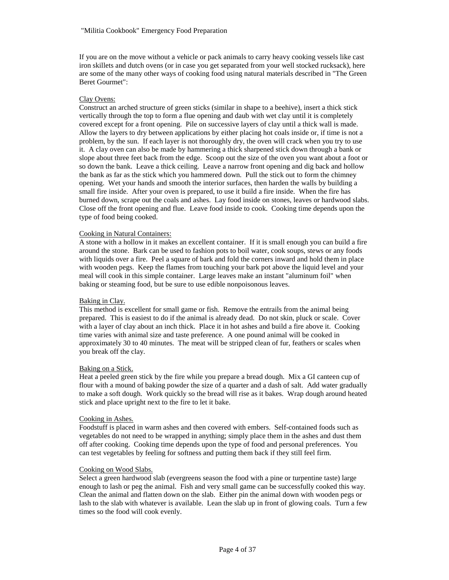If you are on the move without a vehicle or pack animals to carry heavy cooking vessels like cast iron skillets and dutch ovens (or in case you get separated from your well stocked rucksack), here are some of the many other ways of cooking food using natural materials described in "The Green Beret Gourmet":

### Clay Ovens:

Construct an arched structure of green sticks (similar in shape to a beehive), insert a thick stick vertically through the top to form a flue opening and daub with wet clay until it is completely covered except for a front opening. Pile on successive layers of clay until a thick wall is made. Allow the layers to dry between applications by either placing hot coals inside or, if time is not a problem, by the sun. If each layer is not thoroughly dry, the oven will crack when you try to use it. A clay oven can also be made by hammering a thick sharpened stick down through a bank or slope about three feet back from the edge. Scoop out the size of the oven you want about a foot or so down the bank. Leave a thick ceiling. Leave a narrow front opening and dig back and hollow the bank as far as the stick which you hammered down. Pull the stick out to form the chimney opening. Wet your hands and smooth the interior surfaces, then harden the walls by building a small fire inside. After your oven is prepared, to use it build a fire inside. When the fire has burned down, scrape out the coals and ashes. Lay food inside on stones, leaves or hardwood slabs. Close off the front opening and flue. Leave food inside to cook. Cooking time depends upon the type of food being cooked.

### Cooking in Natural Containers:

A stone with a hollow in it makes an excellent container. If it is small enough you can build a fire around the stone. Bark can be used to fashion pots to boil water, cook soups, stews or any foods with liquids over a fire. Peel a square of bark and fold the corners inward and hold them in place with wooden pegs. Keep the flames from touching your bark pot above the liquid level and your meal will cook in this simple container. Large leaves make an instant "aluminum foil" when baking or steaming food, but be sure to use edible nonpoisonous leaves.

### Baking in Clay.

This method is excellent for small game or fish. Remove the entrails from the animal being prepared. This is easiest to do if the animal is already dead. Do not skin, pluck or scale. Cover with a layer of clay about an inch thick. Place it in hot ashes and build a fire above it. Cooking time varies with animal size and taste preference. A one pound animal will be cooked in approximately 30 to 40 minutes. The meat will be stripped clean of fur, feathers or scales when you break off the clay.

### Baking on a Stick.

Heat a peeled green stick by the fire while you prepare a bread dough. Mix a GI canteen cup of flour with a mound of baking powder the size of a quarter and a dash of salt. Add water gradually to make a soft dough. Work quickly so the bread will rise as it bakes. Wrap dough around heated stick and place upright next to the fire to let it bake.

### Cooking in Ashes.

Foodstuff is placed in warm ashes and then covered with embers. Self-contained foods such as vegetables do not need to be wrapped in anything; simply place them in the ashes and dust them off after cooking. Cooking time depends upon the type of food and personal preferences. You can test vegetables by feeling for softness and putting them back if they still feel firm.

### Cooking on Wood Slabs.

Select a green hardwood slab (evergreens season the food with a pine or turpentine taste) large enough to lash or peg the animal. Fish and very small game can be successfully cooked this way. Clean the animal and flatten down on the slab. Either pin the animal down with wooden pegs or lash to the slab with whatever is available. Lean the slab up in front of glowing coals. Turn a few times so the food will cook evenly.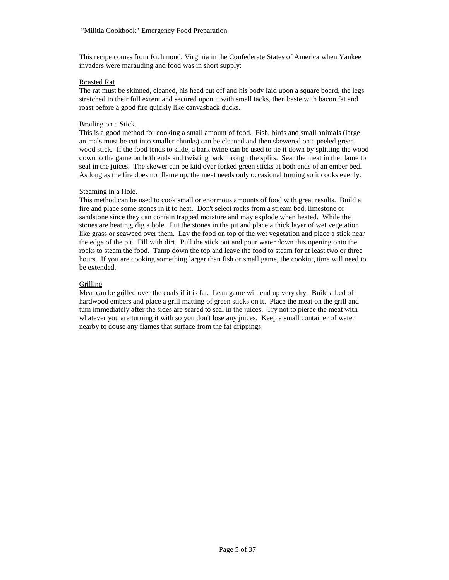This recipe comes from Richmond, Virginia in the Confederate States of America when Yankee invaders were marauding and food was in short supply:

### Roasted Rat

The rat must be skinned, cleaned, his head cut off and his body laid upon a square board, the legs stretched to their full extent and secured upon it with small tacks, then baste with bacon fat and roast before a good fire quickly like canvasback ducks.

### Broiling on a Stick.

This is a good method for cooking a small amount of food. Fish, birds and small animals (large animals must be cut into smaller chunks) can be cleaned and then skewered on a peeled green wood stick. If the food tends to slide, a bark twine can be used to tie it down by splitting the wood down to the game on both ends and twisting bark through the splits. Sear the meat in the flame to seal in the juices. The skewer can be laid over forked green sticks at both ends of an ember bed. As long as the fire does not flame up, the meat needs only occasional turning so it cooks evenly.

### Steaming in a Hole.

This method can be used to cook small or enormous amounts of food with great results. Build a fire and place some stones in it to heat. Don't select rocks from a stream bed, limestone or sandstone since they can contain trapped moisture and may explode when heated. While the stones are heating, dig a hole. Put the stones in the pit and place a thick layer of wet vegetation like grass or seaweed over them. Lay the food on top of the wet vegetation and place a stick near the edge of the pit. Fill with dirt. Pull the stick out and pour water down this opening onto the rocks to steam the food. Tamp down the top and leave the food to steam for at least two or three hours. If you are cooking something larger than fish or small game, the cooking time will need to be extended.

### Grilling

Meat can be grilled over the coals if it is fat. Lean game will end up very dry. Build a bed of hardwood embers and place a grill matting of green sticks on it. Place the meat on the grill and turn immediately after the sides are seared to seal in the juices. Try not to pierce the meat with whatever you are turning it with so you don't lose any juices. Keep a small container of water nearby to douse any flames that surface from the fat drippings.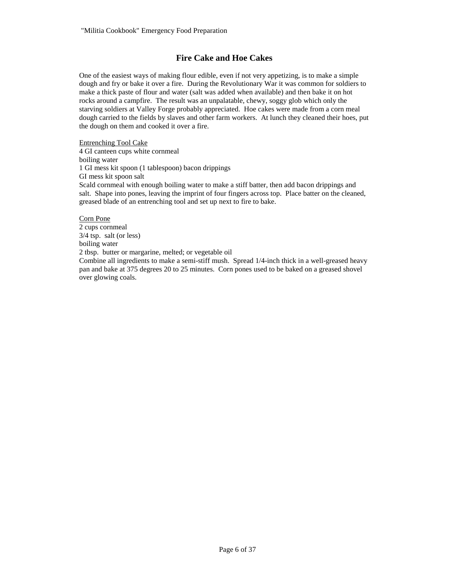# **Fire Cake and Hoe Cakes**

One of the easiest ways of making flour edible, even if not very appetizing, is to make a simple dough and fry or bake it over a fire. During the Revolutionary War it was common for soldiers to make a thick paste of flour and water (salt was added when available) and then bake it on hot rocks around a campfire. The result was an unpalatable, chewy, soggy glob which only the starving soldiers at Valley Forge probably appreciated. Hoe cakes were made from a corn meal dough carried to the fields by slaves and other farm workers. At lunch they cleaned their hoes, put the dough on them and cooked it over a fire.

Entrenching Tool Cake 4 GI canteen cups white cornmeal boiling water 1 GI mess kit spoon (1 tablespoon) bacon drippings GI mess kit spoon salt Scald cornmeal with enough boiling water to make a stiff batter, then add bacon drippings and salt. Shape into pones, leaving the imprint of four fingers across top. Place batter on the cleaned, greased blade of an entrenching tool and set up next to fire to bake.

Corn Pone 2 cups cornmeal 3/4 tsp. salt (or less) boiling water 2 tbsp. butter or margarine, melted; or vegetable oil

Combine all ingredients to make a semi-stiff mush. Spread 1/4-inch thick in a well-greased heavy pan and bake at 375 degrees 20 to 25 minutes. Corn pones used to be baked on a greased shovel over glowing coals.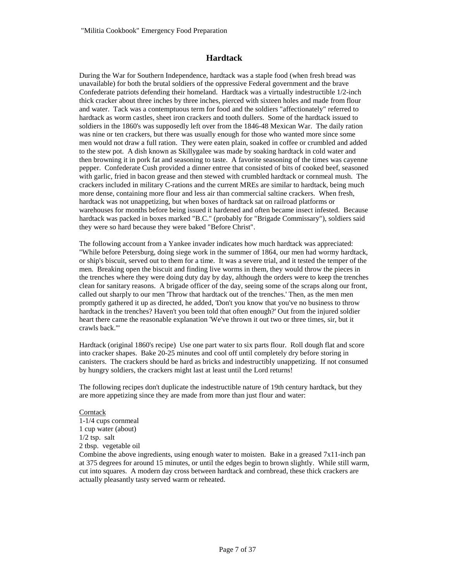# **Hardtack**

During the War for Southern Independence, hardtack was a staple food (when fresh bread was unavailable) for both the brutal soldiers of the oppressive Federal government and the brave Confederate patriots defending their homeland. Hardtack was a virtually indestructible 1/2-inch thick cracker about three inches by three inches, pierced with sixteen holes and made from flour and water. Tack was a contemptuous term for food and the soldiers "affectionately" referred to hardtack as worm castles, sheet iron crackers and tooth dullers. Some of the hardtack issued to soldiers in the 1860's was supposedly left over from the 1846-48 Mexican War. The daily ration was nine or ten crackers, but there was usually enough for those who wanted more since some men would not draw a full ration. They were eaten plain, soaked in coffee or crumbled and added to the stew pot. A dish known as Skillygalee was made by soaking hardtack in cold water and then browning it in pork fat and seasoning to taste. A favorite seasoning of the times was cayenne pepper. Confederate Cush provided a dinner entree that consisted of bits of cooked beef, seasoned with garlic, fried in bacon grease and then stewed with crumbled hardtack or cornmeal mush. The crackers included in military C-rations and the current MREs are similar to hardtack, being much more dense, containing more flour and less air than commercial saltine crackers. When fresh, hardtack was not unappetizing, but when boxes of hardtack sat on railroad platforms or warehouses for months before being issued it hardened and often became insect infested. Because hardtack was packed in boxes marked "B.C." (probably for "Brigade Commissary"), soldiers said they were so hard because they were baked "Before Christ".

The following account from a Yankee invader indicates how much hardtack was appreciated: "While before Petersburg, doing siege work in the summer of 1864, our men had wormy hardtack, or ship's biscuit, served out to them for a time. It was a severe trial, and it tested the temper of the men. Breaking open the biscuit and finding live worms in them, they would throw the pieces in the trenches where they were doing duty day by day, although the orders were to keep the trenches clean for sanitary reasons. A brigade officer of the day, seeing some of the scraps along our front, called out sharply to our men 'Throw that hardtack out of the trenches.' Then, as the men men promptly gathered it up as directed, he added, 'Don't you know that you've no business to throw hardtack in the trenches? Haven't you been told that often enough?' Out from the injured soldier heart there came the reasonable explanation 'We've thrown it out two or three times, sir, but it crawls back.'"

Hardtack (original 1860's recipe) Use one part water to six parts flour. Roll dough flat and score into cracker shapes. Bake 20-25 minutes and cool off until completely dry before storing in canisters. The crackers should be hard as bricks and indestructibly unappetizing. If not consumed by hungry soldiers, the crackers might last at least until the Lord returns!

The following recipes don't duplicate the indestructible nature of 19th century hardtack, but they are more appetizing since they are made from more than just flour and water:

**Corntack** 1-1/4 cups cornmeal 1 cup water (about) 1/2 tsp. salt 2 tbsp. vegetable oil

Combine the above ingredients, using enough water to moisten. Bake in a greased 7x11-inch pan at 375 degrees for around 15 minutes, or until the edges begin to brown slightly. While still warm, cut into squares. A modern day cross between hardtack and cornbread, these thick crackers are actually pleasantly tasty served warm or reheated.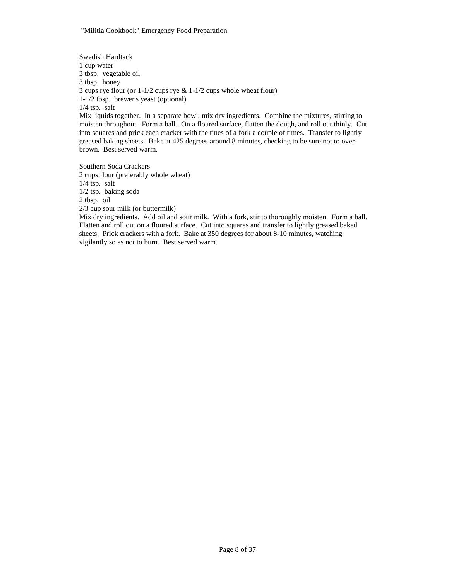Swedish Hardtack 1 cup water 3 tbsp. vegetable oil 3 tbsp. honey 3 cups rye flour (or 1-1/2 cups rye & 1-1/2 cups whole wheat flour) 1-1/2 tbsp. brewer's yeast (optional) 1/4 tsp. salt Mix liquids together. In a separate bowl, mix dry ingredients. Combine the mixtures, stirring to moisten throughout. Form a ball. On a floured surface, flatten the dough, and roll out thinly. Cut into squares and prick each cracker with the tines of a fork a couple of times. Transfer to lightly greased baking sheets. Bake at 425 degrees around 8 minutes, checking to be sure not to overbrown. Best served warm.

Southern Soda Crackers 2 cups flour (preferably whole wheat) 1/4 tsp. salt 1/2 tsp. baking soda 2 tbsp. oil 2/3 cup sour milk (or buttermilk)

Mix dry ingredients. Add oil and sour milk. With a fork, stir to thoroughly moisten. Form a ball. Flatten and roll out on a floured surface. Cut into squares and transfer to lightly greased baked sheets. Prick crackers with a fork. Bake at 350 degrees for about 8-10 minutes, watching vigilantly so as not to burn. Best served warm.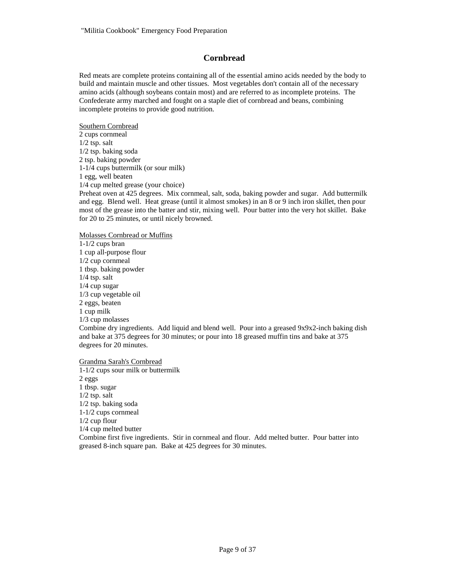# **Cornbread**

Red meats are complete proteins containing all of the essential amino acids needed by the body to build and maintain muscle and other tissues. Most vegetables don't contain all of the necessary amino acids (although soybeans contain most) and are referred to as incomplete proteins. The Confederate army marched and fought on a staple diet of cornbread and beans, combining incomplete proteins to provide good nutrition.

Southern Cornbread 2 cups cornmeal 1/2 tsp. salt 1/2 tsp. baking soda 2 tsp. baking powder 1-1/4 cups buttermilk (or sour milk) 1 egg, well beaten 1/4 cup melted grease (your choice)

Preheat oven at 425 degrees. Mix cornmeal, salt, soda, baking powder and sugar. Add buttermilk and egg. Blend well. Heat grease (until it almost smokes) in an 8 or 9 inch iron skillet, then pour most of the grease into the batter and stir, mixing well. Pour batter into the very hot skillet. Bake for 20 to 25 minutes, or until nicely browned.

Molasses Cornbread or Muffins

1-1/2 cups bran 1 cup all-purpose flour 1/2 cup cornmeal 1 tbsp. baking powder 1/4 tsp. salt 1/4 cup sugar 1/3 cup vegetable oil 2 eggs, beaten 1 cup milk 1/3 cup molasses Combine dry ingredients. Add liquid and blend well. Pour into a greased 9x9x2-inch baking dish and bake at 375 degrees for 30 minutes; or pour into 18 greased muffin tins and bake at 375 degrees for 20 minutes.

Grandma Sarah's Cornbread

1-1/2 cups sour milk or buttermilk 2 eggs 1 tbsp. sugar 1/2 tsp. salt 1/2 tsp. baking soda 1-1/2 cups cornmeal 1/2 cup flour 1/4 cup melted butter Combine first five ingredients. Stir in cornmeal and flour. Add melted butter. Pour batter into greased 8-inch square pan. Bake at 425 degrees for 30 minutes.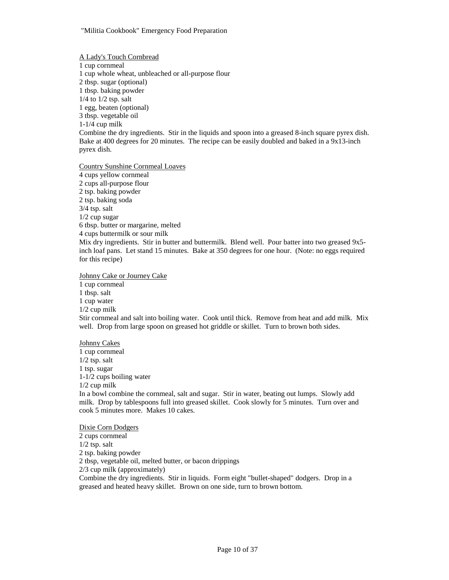A Lady's Touch Cornbread 1 cup cornmeal 1 cup whole wheat, unbleached or all-purpose flour 2 tbsp. sugar (optional) 1 tbsp. baking powder 1/4 to 1/2 tsp. salt 1 egg, beaten (optional) 3 tbsp. vegetable oil 1-1/4 cup milk Combine the dry ingredients. Stir in the liquids and spoon into a greased 8-inch square pyrex dish. Bake at 400 degrees for 20 minutes. The recipe can be easily doubled and baked in a 9x13-inch pyrex dish.

Country Sunshine Cornmeal Loaves

4 cups yellow cornmeal 2 cups all-purpose flour 2 tsp. baking powder 2 tsp. baking soda 3/4 tsp. salt 1/2 cup sugar 6 tbsp. butter or margarine, melted 4 cups buttermilk or sour milk Mix dry ingredients. Stir in butter and buttermilk. Blend well. Pour batter into two greased 9x5 inch loaf pans. Let stand 15 minutes. Bake at 350 degrees for one hour. (Note: no eggs required for this recipe)

Johnny Cake or Journey Cake

1 cup cornmeal 1 tbsp. salt 1 cup water 1/2 cup milk Stir cornmeal and salt into boiling water. Cook until thick. Remove from heat and add milk. Mix well. Drop from large spoon on greased hot griddle or skillet. Turn to brown both sides.

#### Johnny Cakes

1 cup cornmeal 1/2 tsp. salt 1 tsp. sugar 1-1/2 cups boiling water 1/2 cup milk In a bowl combine the cornmeal, salt and sugar. Stir in water, beating out lumps. Slowly add milk. Drop by tablespoons full into greased skillet. Cook slowly for 5 minutes. Turn over and cook 5 minutes more. Makes 10 cakes.

Dixie Corn Dodgers 2 cups cornmeal 1/2 tsp. salt 2 tsp. baking powder 2 tbsp, vegetable oil, melted butter, or bacon drippings 2/3 cup milk (approximately) Combine the dry ingredients. Stir in liquids. Form eight "bullet-shaped" dodgers. Drop in a greased and heated heavy skillet. Brown on one side, turn to brown bottom.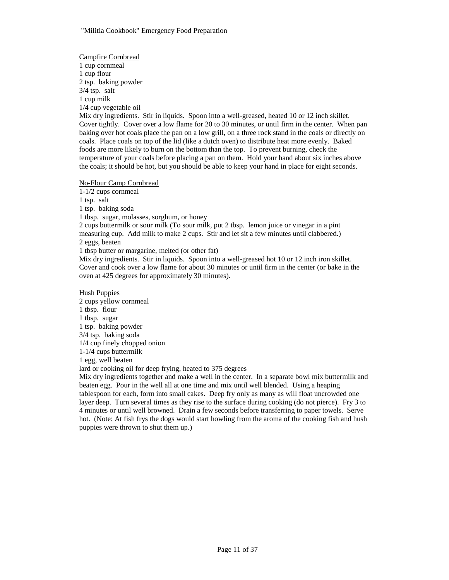Campfire Cornbread 1 cup cornmeal 1 cup flour 2 tsp. baking powder 3/4 tsp. salt 1 cup milk 1/4 cup vegetable oil Mix dry ingredients. Stir in liquids. Spoon into a well-greased, heated 10 or 12 inch skillet. Cover tightly. Cover over a low flame for 20 to 30 minutes, or until firm in the center. When pan baking over hot coals place the pan on a low grill, on a three rock stand in the coals or directly on coals. Place coals on top of the lid (like a dutch oven) to distribute heat more evenly. Baked foods are more likely to burn on the bottom than the top. To prevent burning, check the temperature of your coals before placing a pan on them. Hold your hand about six inches above the coals; it should be hot, but you should be able to keep your hand in place for eight seconds.

No-Flour Camp Cornbread

1-1/2 cups cornmeal

1 tsp. salt

1 tsp. baking soda

1 tbsp. sugar, molasses, sorghum, or honey

2 cups buttermilk or sour milk (To sour milk, put 2 tbsp. lemon juice or vinegar in a pint measuring cup. Add milk to make 2 cups. Stir and let sit a few minutes until clabbered.) 2 eggs, beaten

1 tbsp butter or margarine, melted (or other fat)

Mix dry ingredients. Stir in liquids. Spoon into a well-greased hot 10 or 12 inch iron skillet. Cover and cook over a low flame for about 30 minutes or until firm in the center (or bake in the oven at 425 degrees for approximately 30 minutes).

### Hush Puppies

2 cups yellow cornmeal 1 tbsp. flour 1 tbsp. sugar 1 tsp. baking powder 3/4 tsp. baking soda 1/4 cup finely chopped onion 1-1/4 cups buttermilk 1 egg, well beaten lard or cooking oil for deep frying, heated to 375 degrees Mix dry ingredients together and make a well in the center. In a separate bowl mix buttermilk and

beaten egg. Pour in the well all at one time and mix until well blended. Using a heaping tablespoon for each, form into small cakes. Deep fry only as many as will float uncrowded one layer deep. Turn several times as they rise to the surface during cooking (do not pierce). Fry 3 to 4 minutes or until well browned. Drain a few seconds before transferring to paper towels. Serve hot. (Note: At fish frys the dogs would start howling from the aroma of the cooking fish and hush puppies were thrown to shut them up.)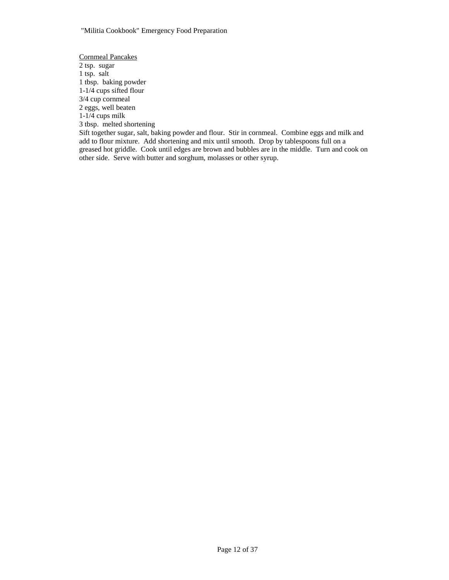Cornmeal Pancakes 2 tsp. sugar 1 tsp. salt 1 tbsp. baking powder 1-1/4 cups sifted flour 3/4 cup cornmeal 2 eggs, well beaten  $1-1/4$  cups milk 3 tbsp. melted shortening Sift together sugar, salt, baking powder and flour. Stir in cornmeal. Combine eggs and milk and add to flour mixture. Add shortening and mix until smooth. Drop by tablespoons full on a greased hot griddle. Cook until edges are brown and bubbles are in the middle. Turn and cook on

other side. Serve with butter and sorghum, molasses or other syrup.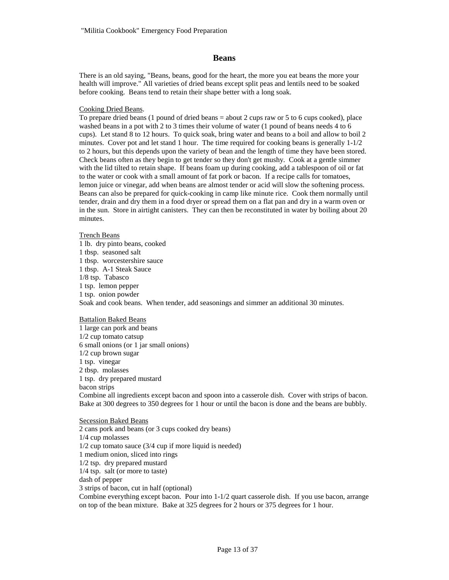### **Beans**

There is an old saying, "Beans, beans, good for the heart, the more you eat beans the more your health will improve." All varieties of dried beans except split peas and lentils need to be soaked before cooking. Beans tend to retain their shape better with a long soak.

#### Cooking Dried Beans.

To prepare dried beans (1 pound of dried beans = about 2 cups raw or 5 to 6 cups cooked), place washed beans in a pot with 2 to 3 times their volume of water (1 pound of beans needs 4 to 6 cups). Let stand 8 to 12 hours. To quick soak, bring water and beans to a boil and allow to boil 2 minutes. Cover pot and let stand 1 hour. The time required for cooking beans is generally  $1-1/2$ to 2 hours, but this depends upon the variety of bean and the length of time they have been stored. Check beans often as they begin to get tender so they don't get mushy. Cook at a gentle simmer with the lid tilted to retain shape. If beans foam up during cooking, add a tablespoon of oil or fat to the water or cook with a small amount of fat pork or bacon. If a recipe calls for tomatoes, lemon juice or vinegar, add when beans are almost tender or acid will slow the softening process. Beans can also be prepared for quick-cooking in camp like minute rice. Cook them normally until tender, drain and dry them in a food dryer or spread them on a flat pan and dry in a warm oven or in the sun. Store in airtight canisters. They can then be reconstituted in water by boiling about 20 minutes.

#### Trench Beans

1 lb. dry pinto beans, cooked 1 tbsp. seasoned salt 1 tbsp. worcestershire sauce 1 tbsp. A-1 Steak Sauce 1/8 tsp. Tabasco 1 tsp. lemon pepper 1 tsp. onion powder Soak and cook beans. When tender, add seasonings and simmer an additional 30 minutes.

### Battalion Baked Beans

1 large can pork and beans 1/2 cup tomato catsup 6 small onions (or 1 jar small onions) 1/2 cup brown sugar 1 tsp. vinegar 2 tbsp. molasses 1 tsp. dry prepared mustard bacon strips Combine all ingredients except bacon and spoon into a casserole dish. Cover with strips of bacon. Bake at 300 degrees to 350 degrees for 1 hour or until the bacon is done and the beans are bubbly.

## Secession Baked Beans

2 cans pork and beans (or 3 cups cooked dry beans) 1/4 cup molasses 1/2 cup tomato sauce (3/4 cup if more liquid is needed) 1 medium onion, sliced into rings 1/2 tsp. dry prepared mustard 1/4 tsp. salt (or more to taste) dash of pepper 3 strips of bacon, cut in half (optional) Combine everything except bacon. Pour into 1-1/2 quart casserole dish. If you use bacon, arrange on top of the bean mixture. Bake at 325 degrees for 2 hours or 375 degrees for 1 hour.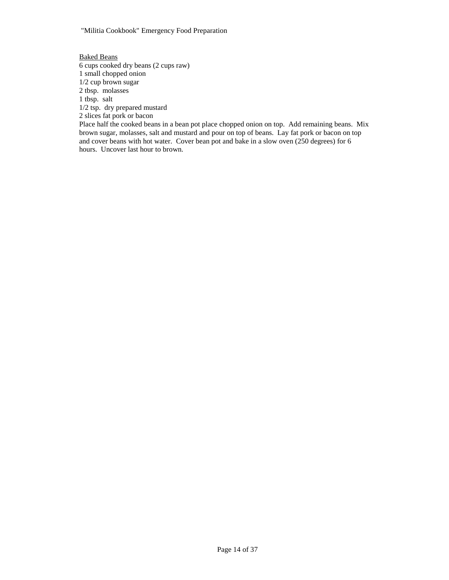"Militia Cookbook" Emergency Food Preparation

Baked Beans 6 cups cooked dry beans (2 cups raw) 1 small chopped onion 1/2 cup brown sugar 2 tbsp. molasses 1 tbsp. salt 1/2 tsp. dry prepared mustard 2 slices fat pork or bacon Place half the cooked beans in a bean pot place chopped onion on top. Add remaining beans. Mix brown sugar, molasses, salt and mustard and pour on top of beans. Lay fat pork or bacon on top and cover beans with hot water. Cover bean pot and bake in a slow oven (250 degrees) for 6 hours. Uncover last hour to brown.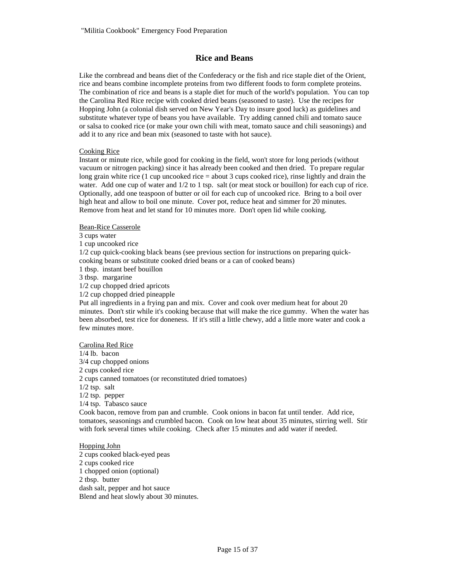### **Rice and Beans**

Like the cornbread and beans diet of the Confederacy or the fish and rice staple diet of the Orient, rice and beans combine incomplete proteins from two different foods to form complete proteins. The combination of rice and beans is a staple diet for much of the world's population. You can top the Carolina Red Rice recipe with cooked dried beans (seasoned to taste). Use the recipes for Hopping John (a colonial dish served on New Year's Day to insure good luck) as guidelines and substitute whatever type of beans you have available. Try adding canned chili and tomato sauce or salsa to cooked rice (or make your own chili with meat, tomato sauce and chili seasonings) and add it to any rice and bean mix (seasoned to taste with hot sauce).

### Cooking Rice

Instant or minute rice, while good for cooking in the field, won't store for long periods (without vacuum or nitrogen packing) since it has already been cooked and then dried. To prepare regular long grain white rice (1 cup uncooked rice  $=$  about 3 cups cooked rice), rinse lightly and drain the water. Add one cup of water and  $1/2$  to 1 tsp. salt (or meat stock or bouillon) for each cup of rice. Optionally, add one teaspoon of butter or oil for each cup of uncooked rice. Bring to a boil over high heat and allow to boil one minute. Cover pot, reduce heat and simmer for 20 minutes. Remove from heat and let stand for 10 minutes more. Don't open lid while cooking.

### Bean-Rice Casserole

3 cups water

1 cup uncooked rice

1/2 cup quick-cooking black beans (see previous section for instructions on preparing quickcooking beans or substitute cooked dried beans or a can of cooked beans)

1 tbsp. instant beef bouillon

3 tbsp. margarine

1/2 cup chopped dried apricots

1/2 cup chopped dried pineapple

Put all ingredients in a frying pan and mix. Cover and cook over medium heat for about 20 minutes. Don't stir while it's cooking because that will make the rice gummy. When the water has been absorbed, test rice for doneness. If it's still a little chewy, add a little more water and cook a few minutes more.

### Carolina Red Rice

1/4 lb. bacon 3/4 cup chopped onions 2 cups cooked rice 2 cups canned tomatoes (or reconstituted dried tomatoes) 1/2 tsp. salt 1/2 tsp. pepper 1/4 tsp. Tabasco sauce Cook bacon, remove from pan and crumble. Cook onions in bacon fat until tender. Add rice,

tomatoes, seasonings and crumbled bacon. Cook on low heat about 35 minutes, stirring well. Stir with fork several times while cooking. Check after 15 minutes and add water if needed.

# Hopping John

2 cups cooked black-eyed peas 2 cups cooked rice 1 chopped onion (optional) 2 tbsp. butter dash salt, pepper and hot sauce Blend and heat slowly about 30 minutes.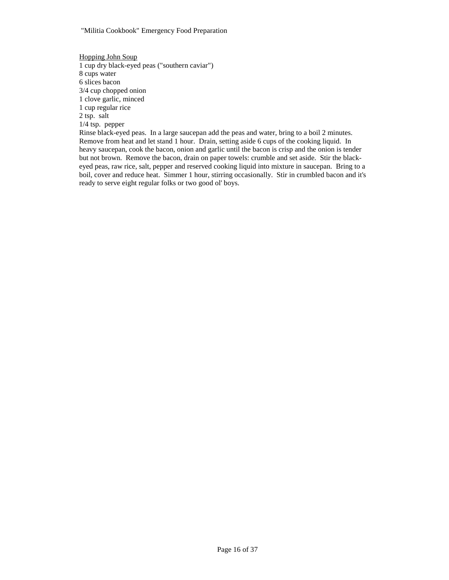Hopping John Soup 1 cup dry black-eyed peas ("southern caviar") 8 cups water 6 slices bacon 3/4 cup chopped onion 1 clove garlic, minced 1 cup regular rice 2 tsp. salt 1/4 tsp. pepper Rinse black-eyed peas. In a large saucepan add the peas and water, bring to a boil 2 minutes.

Remove from heat and let stand 1 hour. Drain, setting aside 6 cups of the cooking liquid. In heavy saucepan, cook the bacon, onion and garlic until the bacon is crisp and the onion is tender but not brown. Remove the bacon, drain on paper towels: crumble and set aside. Stir the blackeyed peas, raw rice, salt, pepper and reserved cooking liquid into mixture in saucepan. Bring to a boil, cover and reduce heat. Simmer 1 hour, stirring occasionally. Stir in crumbled bacon and it's ready to serve eight regular folks or two good ol' boys.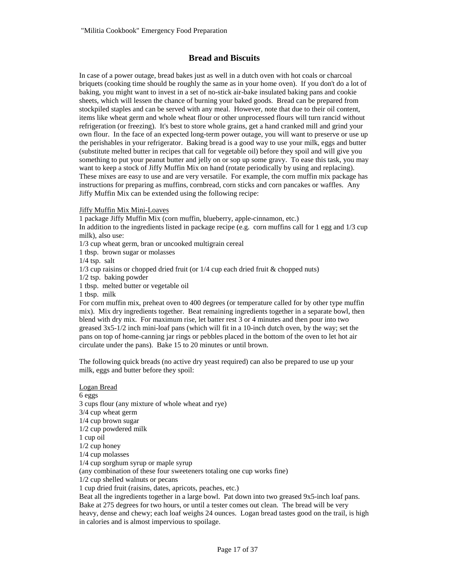# **Bread and Biscuits**

In case of a power outage, bread bakes just as well in a dutch oven with hot coals or charcoal briquets (cooking time should be roughly the same as in your home oven). If you don't do a lot of baking, you might want to invest in a set of no-stick air-bake insulated baking pans and cookie sheets, which will lessen the chance of burning your baked goods. Bread can be prepared from stockpiled staples and can be served with any meal. However, note that due to their oil content, items like wheat germ and whole wheat flour or other unprocessed flours will turn rancid without refrigeration (or freezing). It's best to store whole grains, get a hand cranked mill and grind your own flour. In the face of an expected long-term power outage, you will want to preserve or use up the perishables in your refrigerator. Baking bread is a good way to use your milk, eggs and butter (substitute melted butter in recipes that call for vegetable oil) before they spoil and will give you something to put your peanut butter and jelly on or sop up some gravy. To ease this task, you may want to keep a stock of Jiffy Muffin Mix on hand (rotate periodically by using and replacing). These mixes are easy to use and are very versatile. For example, the corn muffin mix package has instructions for preparing as muffins, cornbread, corn sticks and corn pancakes or waffles. Any Jiffy Muffin Mix can be extended using the following recipe:

Jiffy Muffin Mix Mini-Loaves

1 package Jiffy Muffin Mix (corn muffin, blueberry, apple-cinnamon, etc.)

In addition to the ingredients listed in package recipe (e.g. corn muffins call for 1 egg and 1/3 cup milk), also use:

1/3 cup wheat germ, bran or uncooked multigrain cereal

1 tbsp. brown sugar or molasses

1/4 tsp. salt

1/3 cup raisins or chopped dried fruit (or 1/4 cup each dried fruit & chopped nuts)

1/2 tsp. baking powder

1 tbsp. melted butter or vegetable oil

1 tbsp. milk

For corn muffin mix, preheat oven to 400 degrees (or temperature called for by other type muffin mix). Mix dry ingredients together. Beat remaining ingredients together in a separate bowl, then blend with dry mix. For maximum rise, let batter rest 3 or 4 minutes and then pour into two greased 3x5-1/2 inch mini-loaf pans (which will fit in a 10-inch dutch oven, by the way; set the pans on top of home-canning jar rings or pebbles placed in the bottom of the oven to let hot air circulate under the pans). Bake 15 to 20 minutes or until brown.

The following quick breads (no active dry yeast required) can also be prepared to use up your milk, eggs and butter before they spoil:

#### Logan Bread

6 eggs 3 cups flour (any mixture of whole wheat and rye) 3/4 cup wheat germ 1/4 cup brown sugar 1/2 cup powdered milk 1 cup oil 1/2 cup honey 1/4 cup molasses 1/4 cup sorghum syrup or maple syrup (any combination of these four sweeteners totaling one cup works fine) 1/2 cup shelled walnuts or pecans 1 cup dried fruit (raisins, dates, apricots, peaches, etc.) Beat all the ingredients together in a large bowl. Pat down into two greased 9x5-inch loaf pans. Bake at 275 degrees for two hours, or until a tester comes out clean. The bread will be very

heavy, dense and chewy; each loaf weighs 24 ounces. Logan bread tastes good on the trail, is high in calories and is almost impervious to spoilage.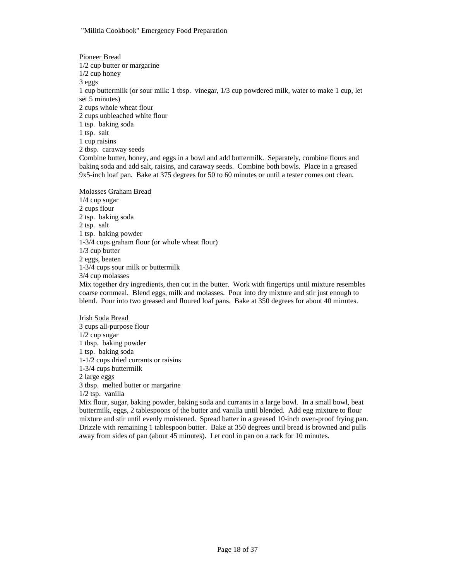Pioneer Bread 1/2 cup butter or margarine 1/2 cup honey 3 eggs 1 cup buttermilk (or sour milk: 1 tbsp. vinegar, 1/3 cup powdered milk, water to make 1 cup, let set 5 minutes) 2 cups whole wheat flour 2 cups unbleached white flour 1 tsp. baking soda 1 tsp. salt 1 cup raisins 2 tbsp. caraway seeds Combine butter, honey, and eggs in a bowl and add buttermilk. Separately, combine flours and baking soda and add salt, raisins, and caraway seeds. Combine both bowls. Place in a greased 9x5-inch loaf pan. Bake at 375 degrees for 50 to 60 minutes or until a tester comes out clean.

### Molasses Graham Bread

1/4 cup sugar 2 cups flour 2 tsp. baking soda 2 tsp. salt 1 tsp. baking powder 1-3/4 cups graham flour (or whole wheat flour) 1/3 cup butter 2 eggs, beaten 1-3/4 cups sour milk or buttermilk 3/4 cup molasses

Mix together dry ingredients, then cut in the butter. Work with fingertips until mixture resembles coarse cornmeal. Blend eggs, milk and molasses. Pour into dry mixture and stir just enough to blend. Pour into two greased and floured loaf pans. Bake at 350 degrees for about 40 minutes.

Irish Soda Bread 3 cups all-purpose flour 1/2 cup sugar 1 tbsp. baking powder 1 tsp. baking soda 1-1/2 cups dried currants or raisins 1-3/4 cups buttermilk 2 large eggs 3 tbsp. melted butter or margarine 1/2 tsp. vanilla

Mix flour, sugar, baking powder, baking soda and currants in a large bowl. In a small bowl, beat buttermilk, eggs, 2 tablespoons of the butter and vanilla until blended. Add egg mixture to flour mixture and stir until evenly moistened. Spread batter in a greased 10-inch oven-proof frying pan. Drizzle with remaining 1 tablespoon butter. Bake at 350 degrees until bread is browned and pulls away from sides of pan (about 45 minutes). Let cool in pan on a rack for 10 minutes.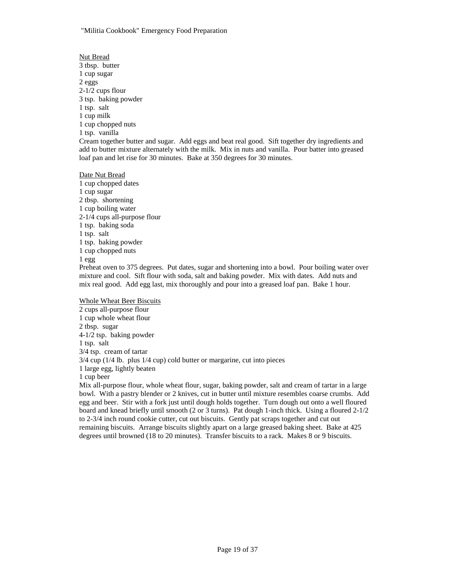Nut Bread 3 tbsp. butter 1 cup sugar 2 eggs 2-1/2 cups flour 3 tsp. baking powder 1 tsp. salt 1 cup milk 1 cup chopped nuts 1 tsp. vanilla Cream together butter and sugar. Add eggs and beat real good. Sift together dry ingredients and add to butter mixture alternately with the milk. Mix in nuts and vanilla. Pour batter into greased loaf pan and let rise for 30 minutes. Bake at 350 degrees for 30 minutes. Date Nut Bread

1 cup chopped dates 1 cup sugar 2 tbsp. shortening 1 cup boiling water 2-1/4 cups all-purpose flour 1 tsp. baking soda 1 tsp. salt 1 tsp. baking powder 1 cup chopped nuts 1 egg Preheat oven to 375 degrees. Put dates, sugar and shortening into a bowl. Pour boiling water over mixture and cool. Sift flour with soda, salt and baking powder. Mix with dates. Add nuts and

mix real good. Add egg last, mix thoroughly and pour into a greased loaf pan. Bake 1 hour.

Whole Wheat Beer Biscuits 2 cups all-purpose flour 1 cup whole wheat flour 2 tbsp. sugar 4-1/2 tsp. baking powder 1 tsp. salt 3/4 tsp. cream of tartar 3/4 cup (1/4 lb. plus 1/4 cup) cold butter or margarine, cut into pieces 1 large egg, lightly beaten 1 cup beer

Mix all-purpose flour, whole wheat flour, sugar, baking powder, salt and cream of tartar in a large bowl. With a pastry blender or 2 knives, cut in butter until mixture resembles coarse crumbs. Add egg and beer. Stir with a fork just until dough holds together. Turn dough out onto a well floured board and knead briefly until smooth (2 or 3 turns). Pat dough 1-inch thick. Using a floured 2-1/2 to 2-3/4 inch round cookie cutter, cut out biscuits. Gently pat scraps together and cut out remaining biscuits. Arrange biscuits slightly apart on a large greased baking sheet. Bake at 425 degrees until browned (18 to 20 minutes). Transfer biscuits to a rack. Makes 8 or 9 biscuits.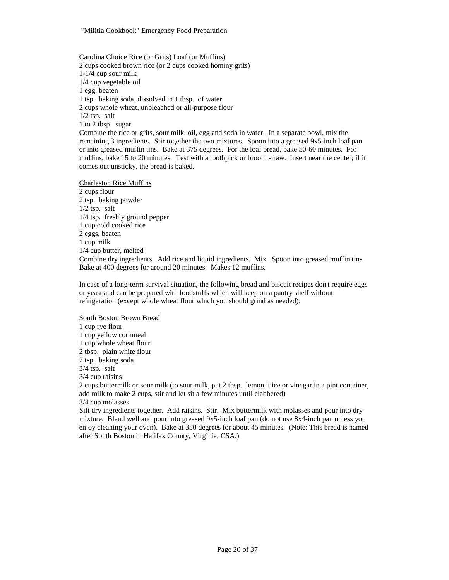"Militia Cookbook" Emergency Food Preparation

Carolina Choice Rice (or Grits) Loaf (or Muffins) 2 cups cooked brown rice (or 2 cups cooked hominy grits) 1-1/4 cup sour milk 1/4 cup vegetable oil 1 egg, beaten 1 tsp. baking soda, dissolved in 1 tbsp. of water 2 cups whole wheat, unbleached or all-purpose flour  $1/2$  tsp. salt 1 to 2 tbsp. sugar Combine the rice or grits, sour milk, oil, egg and soda in water. In a separate bowl, mix the remaining 3 ingredients. Stir together the two mixtures. Spoon into a greased 9x5-inch loaf pan or into greased muffin tins. Bake at 375 degrees. For the loaf bread, bake 50-60 minutes. For muffins, bake 15 to 20 minutes. Test with a toothpick or broom straw. Insert near the center; if it comes out unsticky, the bread is baked.

Charleston Rice Muffins 2 cups flour 2 tsp. baking powder  $1/2$  tsp. salt 1/4 tsp. freshly ground pepper 1 cup cold cooked rice 2 eggs, beaten 1 cup milk 1/4 cup butter, melted Combine dry ingredients. Add rice and liquid ingredients. Mix. Spoon into greased muffin tins. Bake at 400 degrees for around 20 minutes. Makes 12 muffins.

In case of a long-term survival situation, the following bread and biscuit recipes don't require eggs or yeast and can be prepared with foodstuffs which will keep on a pantry shelf without refrigeration (except whole wheat flour which you should grind as needed):

South Boston Brown Bread 1 cup rye flour 1 cup yellow cornmeal 1 cup whole wheat flour 2 tbsp. plain white flour 2 tsp. baking soda 3/4 tsp. salt 3/4 cup raisins 2 cups buttermilk or sour milk (to sour milk, put 2 tbsp. lemon juice or vinegar in a pint container, add milk to make 2 cups, stir and let sit a few minutes until clabbered) 3/4 cup molasses Sift dry ingredients together. Add raisins. Stir. Mix buttermilk with molasses and pour into dry

mixture. Blend well and pour into greased 9x5-inch loaf pan (do not use 8x4-inch pan unless you enjoy cleaning your oven). Bake at 350 degrees for about 45 minutes. (Note: This bread is named after South Boston in Halifax County, Virginia, CSA.)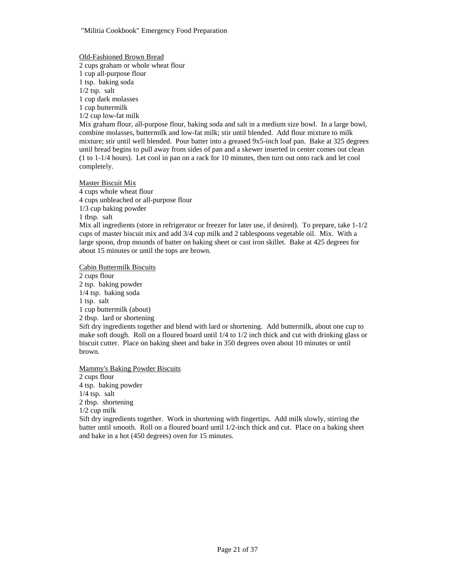Old-Fashioned Brown Bread 2 cups graham or whole wheat flour 1 cup all-purpose flour 1 tsp. baking soda 1/2 tsp. salt 1 cup dark molasses 1 cup buttermilk 1/2 cup low-fat milk Mix graham flour, all-purpose flour, baking soda and salt in a medium size bowl. In a large bowl, combine molasses, buttermilk and low-fat milk; stir until blended. Add flour mixture to milk mixture; stir until well blended. Pour batter into a greased 9x5-inch loaf pan. Bake at 325 degrees until bread begins to pull away from sides of pan and a skewer inserted in center comes out clean (1 to 1-1/4 hours). Let cool in pan on a rack for 10 minutes, then turn out onto rack and let cool completely.

Master Biscuit Mix 4 cups whole wheat flour 4 cups unbleached or all-purpose flour 1/3 cup baking powder 1 tbsp. salt Mix all ingredients (store in refrigerator or freezer for later use, if desired). To prepare, take 1-1/2 cups of master biscuit mix and add 3/4 cup milk and 2 tablespoons vegetable oil. Mix. With a large spoon, drop mounds of batter on baking sheet or cast iron skillet. Bake at 425 degrees for about 15 minutes or until the tops are brown.

Cabin Buttermilk Biscuits

2 cups flour 2 tsp. baking powder 1/4 tsp. baking soda 1 tsp. salt 1 cup buttermilk (about) 2 tbsp. lard or shortening Sift dry ingredients together and blend with lard or shortening. Add buttermilk, about one cup to make soft dough. Roll on a floured board until 1/4 to 1/2 inch thick and cut with drinking glass or biscuit cutter. Place on baking sheet and bake in 350 degrees oven about 10 minutes or until brown.

Mammy's Baking Powder Biscuits

2 cups flour 4 tsp. baking powder 1/4 tsp. salt 2 tbsp. shortening 1/2 cup milk Sift dry ingredients together. Work in shortening with fingertips. Add milk slowly, stirring the batter until smooth. Roll on a floured board until 1/2-inch thick and cut. Place on a baking sheet and bake in a hot (450 degrees) oven for 15 minutes.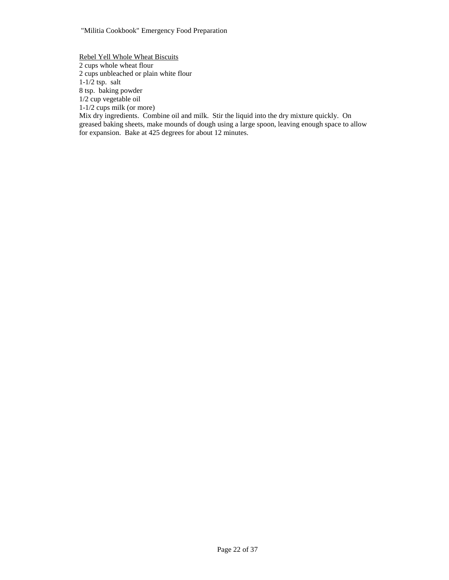Rebel Yell Whole Wheat Biscuits

2 cups whole wheat flour

2 cups unbleached or plain white flour

 $1-1/2$  tsp. salt 8 tsp. baking powder

1/2 cup vegetable oil

1-1/2 cups milk (or more)

Mix dry ingredients. Combine oil and milk. Stir the liquid into the dry mixture quickly. On greased baking sheets, make mounds of dough using a large spoon, leaving enough space to allow for expansion. Bake at 425 degrees for about 12 minutes.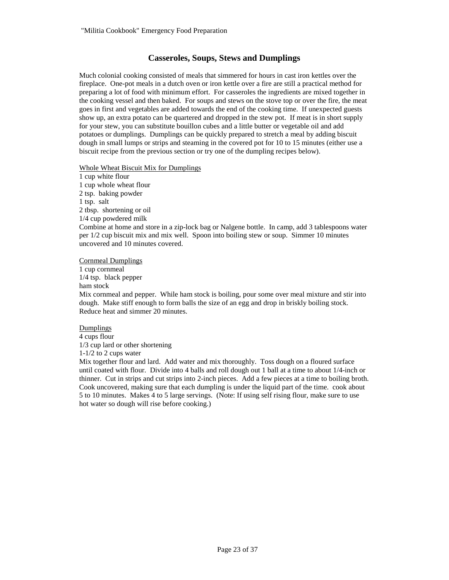# **Casseroles, Soups, Stews and Dumplings**

Much colonial cooking consisted of meals that simmered for hours in cast iron kettles over the fireplace. One-pot meals in a dutch oven or iron kettle over a fire are still a practical method for preparing a lot of food with minimum effort. For casseroles the ingredients are mixed together in the cooking vessel and then baked. For soups and stews on the stove top or over the fire, the meat goes in first and vegetables are added towards the end of the cooking time. If unexpected guests show up, an extra potato can be quartered and dropped in the stew pot. If meat is in short supply for your stew, you can substitute bouillon cubes and a little butter or vegetable oil and add potatoes or dumplings. Dumplings can be quickly prepared to stretch a meal by adding biscuit dough in small lumps or strips and steaming in the covered pot for 10 to 15 minutes (either use a biscuit recipe from the previous section or try one of the dumpling recipes below).

### Whole Wheat Biscuit Mix for Dumplings

1 cup white flour 1 cup whole wheat flour 2 tsp. baking powder 1 tsp. salt 2 tbsp. shortening or oil 1/4 cup powdered milk Combine at home and store in a zip-lock bag or Nalgene bottle. In camp, add 3 tablespoons water per 1/2 cup biscuit mix and mix well. Spoon into boiling stew or soup. Simmer 10 minutes uncovered and 10 minutes covered.

Cornmeal Dumplings

1 cup cornmeal 1/4 tsp. black pepper ham stock Mix cornmeal and pepper. While ham stock is boiling, pour some over meal mixture and stir into dough. Make stiff enough to form balls the size of an egg and drop in briskly boiling stock. Reduce heat and simmer 20 minutes.

Dumplings 4 cups flour 1/3 cup lard or other shortening 1-1/2 to 2 cups water

Mix together flour and lard. Add water and mix thoroughly. Toss dough on a floured surface until coated with flour. Divide into 4 balls and roll dough out 1 ball at a time to about 1/4-inch or thinner. Cut in strips and cut strips into 2-inch pieces. Add a few pieces at a time to boiling broth. Cook uncovered, making sure that each dumpling is under the liquid part of the time. cook about 5 to 10 minutes. Makes 4 to 5 large servings. (Note: If using self rising flour, make sure to use hot water so dough will rise before cooking.)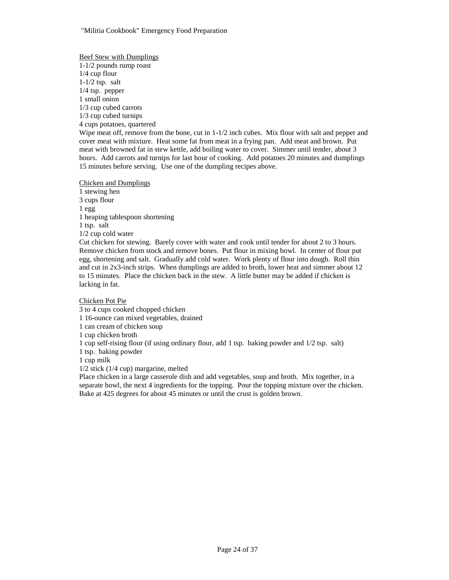Beef Stew with Dumplings 1-1/2 pounds rump roast 1/4 cup flour 1-1/2 tsp. salt 1/4 tsp. pepper 1 small onion 1/3 cup cubed carrots 1/3 cup cubed turnips 4 cups potatoes, quartered Wipe meat off, remove from the bone, cut in 1-1/2 inch cubes. Mix flour with salt and pepper and cover meat with mixture. Heat some fat from meat in a frying pan. Add meat and brown. Put meat with browned fat in stew kettle, add boiling water to cover. Simmer until tender, about 3 hours. Add carrots and turnips for last hour of cooking. Add potatoes 20 minutes and dumplings 15 minutes before serving. Use one of the dumpling recipes above.

Chicken and Dumplings 1 stewing hen 3 cups flour 1 egg 1 heaping tablespoon shortening 1 tsp. salt 1/2 cup cold water Cut chicken for stewing. Barely cover with water and cook until tender for about 2 to 3 hours. Remove chicken from stock and remove bones. Put flour in mixing bowl. In center of flour put egg, shortening and salt. Gradually add cold water. Work plenty of flour into dough. Roll thin and cut in 2x3-inch strips. When dumplings are added to broth, lower heat and simmer about 12 to 15 minutes. Place the chicken back in the stew. A little butter may be added if chicken is lacking in fat.

Chicken Pot Pie

3 to 4 cups cooked chopped chicken 1 16-ounce can mixed vegetables, drained 1 can cream of chicken soup 1 cup chicken broth 1 cup self-rising flour (if using ordinary flour, add 1 tsp. baking powder and 1/2 tsp. salt) 1 tsp. baking powder 1 cup milk 1/2 stick (1/4 cup) margarine, melted Place chicken in a large casserole dish and add vegetables, soup and broth. Mix together, in a

separate bowl, the next 4 ingredients for the topping. Pour the topping mixture over the chicken. Bake at 425 degrees for about 45 minutes or until the crust is golden brown.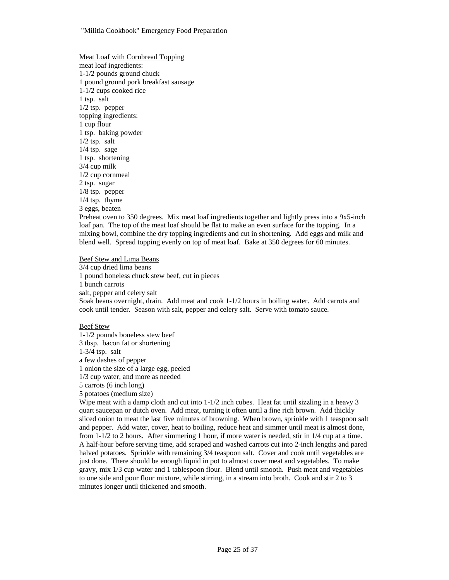Meat Loaf with Cornbread Topping meat loaf ingredients: 1-1/2 pounds ground chuck 1 pound ground pork breakfast sausage 1-1/2 cups cooked rice 1 tsp. salt 1/2 tsp. pepper topping ingredients: 1 cup flour 1 tsp. baking powder 1/2 tsp. salt 1/4 tsp. sage 1 tsp. shortening 3/4 cup milk 1/2 cup cornmeal 2 tsp. sugar 1/8 tsp. pepper 1/4 tsp. thyme 3 eggs, beaten

Preheat oven to 350 degrees. Mix meat loaf ingredients together and lightly press into a 9x5-inch loaf pan. The top of the meat loaf should be flat to make an even surface for the topping. In a mixing bowl, combine the dry topping ingredients and cut in shortening. Add eggs and milk and blend well. Spread topping evenly on top of meat loaf. Bake at 350 degrees for 60 minutes.

Beef Stew and Lima Beans

3/4 cup dried lima beans

1 pound boneless chuck stew beef, cut in pieces

1 bunch carrots

salt, pepper and celery salt

Soak beans overnight, drain. Add meat and cook 1-1/2 hours in boiling water. Add carrots and cook until tender. Season with salt, pepper and celery salt. Serve with tomato sauce.

### Beef Stew

1-1/2 pounds boneless stew beef 3 tbsp. bacon fat or shortening 1-3/4 tsp. salt a few dashes of pepper 1 onion the size of a large egg, peeled 1/3 cup water, and more as needed 5 carrots (6 inch long) 5 potatoes (medium size)

Wipe meat with a damp cloth and cut into 1-1/2 inch cubes. Heat fat until sizzling in a heavy 3 quart saucepan or dutch oven. Add meat, turning it often until a fine rich brown. Add thickly sliced onion to meat the last five minutes of browning. When brown, sprinkle with 1 teaspoon salt and pepper. Add water, cover, heat to boiling, reduce heat and simmer until meat is almost done, from 1-1/2 to 2 hours. After simmering 1 hour, if more water is needed, stir in 1/4 cup at a time. A half-hour before serving time, add scraped and washed carrots cut into 2-inch lengths and pared halved potatoes. Sprinkle with remaining 3/4 teaspoon salt. Cover and cook until vegetables are just done. There should be enough liquid in pot to almost cover meat and vegetables. To make gravy, mix 1/3 cup water and 1 tablespoon flour. Blend until smooth. Push meat and vegetables to one side and pour flour mixture, while stirring, in a stream into broth. Cook and stir 2 to 3 minutes longer until thickened and smooth.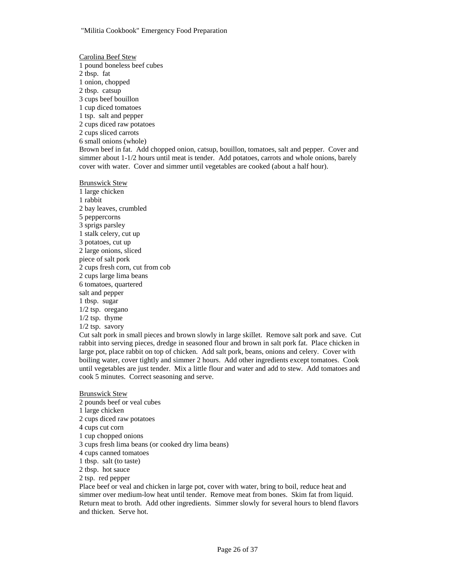Carolina Beef Stew 1 pound boneless beef cubes 2 tbsp. fat 1 onion, chopped 2 tbsp. catsup 3 cups beef bouillon 1 cup diced tomatoes 1 tsp. salt and pepper 2 cups diced raw potatoes 2 cups sliced carrots 6 small onions (whole) Brown beef in fat. Add chopped onion, catsup, bouillon, tomatoes, salt and pepper. Cover and simmer about 1-1/2 hours until meat is tender. Add potatoes, carrots and whole onions, barely cover with water. Cover and simmer until vegetables are cooked (about a half hour).

Brunswick Stew 1 large chicken 1 rabbit 2 bay leaves, crumbled 5 peppercorns 3 sprigs parsley 1 stalk celery, cut up 3 potatoes, cut up 2 large onions, sliced piece of salt pork 2 cups fresh corn, cut from cob 2 cups large lima beans 6 tomatoes, quartered salt and pepper 1 tbsp. sugar 1/2 tsp. oregano 1/2 tsp. thyme 1/2 tsp. savory

Cut salt pork in small pieces and brown slowly in large skillet. Remove salt pork and save. Cut rabbit into serving pieces, dredge in seasoned flour and brown in salt pork fat. Place chicken in large pot, place rabbit on top of chicken. Add salt pork, beans, onions and celery. Cover with boiling water, cover tightly and simmer 2 hours. Add other ingredients except tomatoes. Cook until vegetables are just tender. Mix a little flour and water and add to stew. Add tomatoes and cook 5 minutes. Correct seasoning and serve.

#### Brunswick Stew

2 pounds beef or veal cubes 1 large chicken 2 cups diced raw potatoes 4 cups cut corn 1 cup chopped onions 3 cups fresh lima beans (or cooked dry lima beans) 4 cups canned tomatoes 1 tbsp. salt (to taste) 2 tbsp. hot sauce 2 tsp. red pepper Place beef or veal and chicken in large pot, cover with water, bring to boil, reduce heat and

simmer over medium-low heat until tender. Remove meat from bones. Skim fat from liquid. Return meat to broth. Add other ingredients. Simmer slowly for several hours to blend flavors and thicken. Serve hot.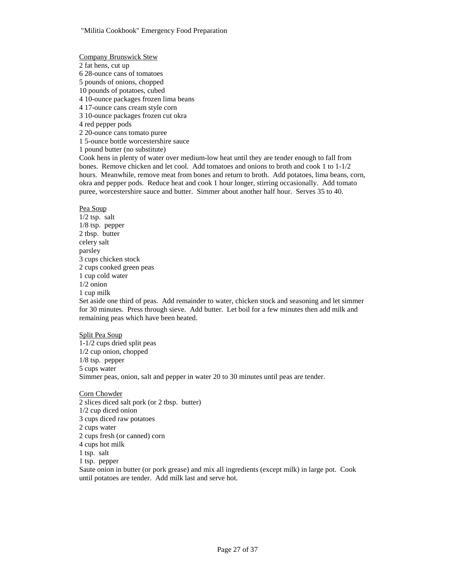Company Brunswick Stew

2 fat hens, cut up

6 28-ounce cans of tomatoes 5 pounds of onions, chopped

10 pounds of potatoes, cubed

4 10-ounce packages frozen lima beans

4 17-ounce cans cream style corn

3 10-ounce packages frozen cut okra

4 red pepper pods

2 20-ounce cans tomato puree

1 5-ounce bottle worcestershire sauce

1 pound butter (no substitute)

Cook hens in plenty of water over medium-low heat until they are tender enough to fall from bones. Remove chicken and let cool. Add tomatoes and onions to broth and cook 1 to 1-1/2 hours. Meanwhile, remove meat from bones and return to broth. Add potatoes, lima beans, corn, okra and pepper pods. Reduce heat and cook 1 hour longer, stirring occasionally. Add tomato puree, worcestershire sauce and butter. Simmer about another half hour. Serves 35 to 40.

Pea Soup

1/2 tsp. salt 1/8 tsp. pepper 2 tbsp. butter celery salt parsley 3 cups chicken stock 2 cups cooked green peas 1 cup cold water 1/2 onion 1 cup milk Set aside one third of peas. Add remainder to water, chicken stock and seasoning and let simmer

for 30 minutes. Press through sieve. Add butter. Let boil for a few minutes then add milk and remaining peas which have been heated.

### Split Pea Soup

1-1/2 cups dried split peas 1/2 cup onion, chopped 1/8 tsp. pepper 5 cups water Simmer peas, onion, salt and pepper in water 20 to 30 minutes until peas are tender.

### Corn Chowder

2 slices diced salt pork (or 2 tbsp. butter) 1/2 cup diced onion 3 cups diced raw potatoes 2 cups water 2 cups fresh (or canned) corn 4 cups hot milk 1 tsp. salt 1 tsp. pepper Saute onion in butter (or pork grease) and mix all ingredients (except milk) in large pot. Cook until potatoes are tender. Add milk last and serve hot.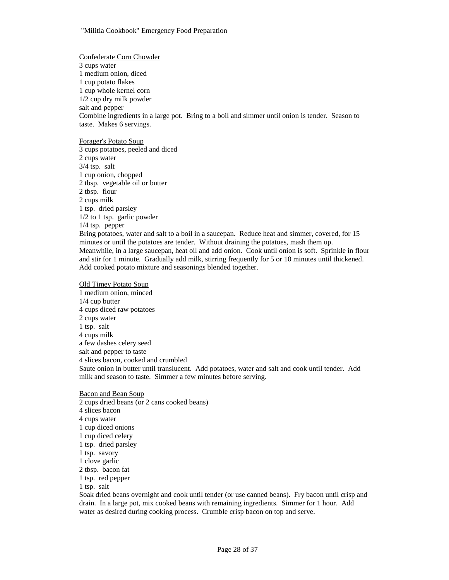Confederate Corn Chowder 3 cups water 1 medium onion, diced 1 cup potato flakes 1 cup whole kernel corn 1/2 cup dry milk powder salt and pepper Combine ingredients in a large pot. Bring to a boil and simmer until onion is tender. Season to taste. Makes 6 servings.

#### Forager's Potato Soup

3 cups potatoes, peeled and diced 2 cups water 3/4 tsp. salt 1 cup onion, chopped 2 tbsp. vegetable oil or butter 2 tbsp. flour 2 cups milk 1 tsp. dried parsley 1/2 to 1 tsp. garlic powder 1/4 tsp. pepper Bring potatoes, water and salt to a boil in a saucepan. Reduce heat and simmer, covered, for 15

minutes or until the potatoes are tender. Without draining the potatoes, mash them up. Meanwhile, in a large saucepan, heat oil and add onion. Cook until onion is soft. Sprinkle in flour and stir for 1 minute. Gradually add milk, stirring frequently for 5 or 10 minutes until thickened. Add cooked potato mixture and seasonings blended together.

#### Old Timey Potato Soup

1 medium onion, minced 1/4 cup butter 4 cups diced raw potatoes 2 cups water 1 tsp. salt 4 cups milk a few dashes celery seed salt and pepper to taste 4 slices bacon, cooked and crumbled Saute onion in butter until translucent. Add potatoes, water and salt and cook until tender. Add milk and season to taste. Simmer a few minutes before serving.

#### Bacon and Bean Soup

2 cups dried beans (or 2 cans cooked beans) 4 slices bacon 4 cups water 1 cup diced onions 1 cup diced celery 1 tsp. dried parsley 1 tsp. savory 1 clove garlic 2 tbsp. bacon fat 1 tsp. red pepper 1 tsp. salt

Soak dried beans overnight and cook until tender (or use canned beans). Fry bacon until crisp and drain. In a large pot, mix cooked beans with remaining ingredients. Simmer for 1 hour. Add water as desired during cooking process. Crumble crisp bacon on top and serve.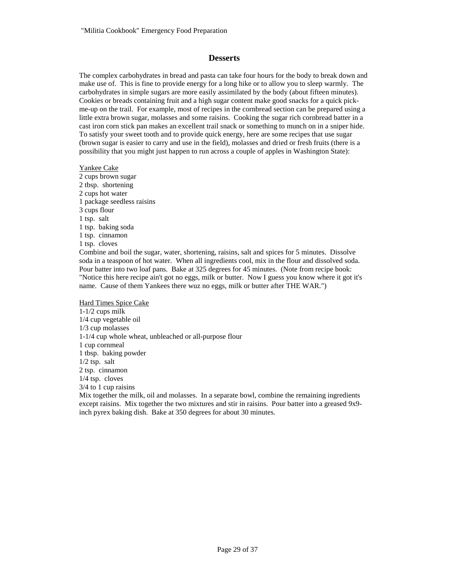### **Desserts**

The complex carbohydrates in bread and pasta can take four hours for the body to break down and make use of. This is fine to provide energy for a long hike or to allow you to sleep warmly. The carbohydrates in simple sugars are more easily assimilated by the body (about fifteen minutes). Cookies or breads containing fruit and a high sugar content make good snacks for a quick pickme-up on the trail. For example, most of recipes in the cornbread section can be prepared using a little extra brown sugar, molasses and some raisins. Cooking the sugar rich cornbread batter in a cast iron corn stick pan makes an excellent trail snack or something to munch on in a sniper hide. To satisfy your sweet tooth and to provide quick energy, here are some recipes that use sugar (brown sugar is easier to carry and use in the field), molasses and dried or fresh fruits (there is a possibility that you might just happen to run across a couple of apples in Washington State):

# Yankee Cake 2 cups brown sugar

2 tbsp. shortening 2 cups hot water 1 package seedless raisins 3 cups flour 1 tsp. salt 1 tsp. baking soda 1 tsp. cinnamon 1 tsp. cloves

Combine and boil the sugar, water, shortening, raisins, salt and spices for 5 minutes. Dissolve soda in a teaspoon of hot water. When all ingredients cool, mix in the flour and dissolved soda. Pour batter into two loaf pans. Bake at 325 degrees for 45 minutes. (Note from recipe book: "Notice this here recipe ain't got no eggs, milk or butter. Now I guess you know where it got it's name. Cause of them Yankees there wuz no eggs, milk or butter after THE WAR.")

### Hard Times Spice Cake

1-1/2 cups milk 1/4 cup vegetable oil 1/3 cup molasses 1-1/4 cup whole wheat, unbleached or all-purpose flour 1 cup cornmeal 1 tbsp. baking powder 1/2 tsp. salt 2 tsp. cinnamon 1/4 tsp. cloves 3/4 to 1 cup raisins

Mix together the milk, oil and molasses. In a separate bowl, combine the remaining ingredients except raisins. Mix together the two mixtures and stir in raisins. Pour batter into a greased 9x9 inch pyrex baking dish. Bake at 350 degrees for about 30 minutes.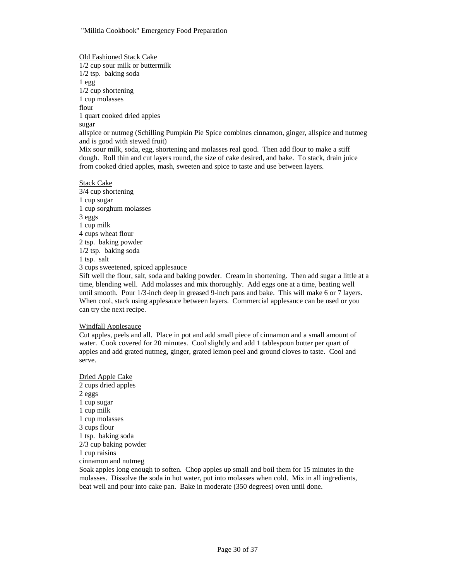Old Fashioned Stack Cake 1/2 cup sour milk or buttermilk 1/2 tsp. baking soda 1 egg 1/2 cup shortening 1 cup molasses flour 1 quart cooked dried apples sugar allspice or nutmeg (Schilling Pumpkin Pie Spice combines cinnamon, ginger, allspice and nutmeg and is good with stewed fruit) Mix sour milk, soda, egg, shortening and molasses real good. Then add flour to make a stiff dough. Roll thin and cut layers round, the size of cake desired, and bake. To stack, drain juice from cooked dried apples, mash, sweeten and spice to taste and use between layers.

Stack Cake 3/4 cup shortening 1 cup sugar 1 cup sorghum molasses 3 eggs 1 cup milk 4 cups wheat flour 2 tsp. baking powder 1/2 tsp. baking soda 1 tsp. salt 3 cups sweetened, spiced applesauce

Sift well the flour, salt, soda and baking powder. Cream in shortening. Then add sugar a little at a time, blending well. Add molasses and mix thoroughly. Add eggs one at a time, beating well until smooth. Pour 1/3-inch deep in greased 9-inch pans and bake. This will make 6 or 7 layers. When cool, stack using applesauce between layers. Commercial applesauce can be used or you can try the next recipe.

#### Windfall Applesauce

Cut apples, peels and all. Place in pot and add small piece of cinnamon and a small amount of water. Cook covered for 20 minutes. Cool slightly and add 1 tablespoon butter per quart of apples and add grated nutmeg, ginger, grated lemon peel and ground cloves to taste. Cool and serve.

Dried Apple Cake 2 cups dried apples 2 eggs 1 cup sugar 1 cup milk 1 cup molasses 3 cups flour 1 tsp. baking soda 2/3 cup baking powder 1 cup raisins cinnamon and nutmeg Soak apples long enough to soften. Chop apples up small and boil them for 15 minutes in the molasses. Dissolve the soda in hot water, put into molasses when cold. Mix in all ingredients, beat well and pour into cake pan. Bake in moderate (350 degrees) oven until done.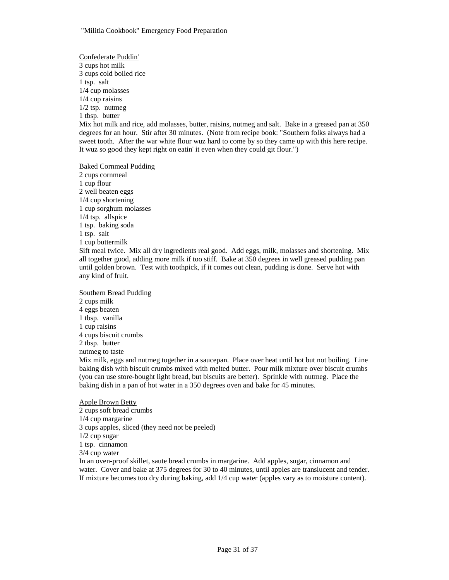Confederate Puddin' 3 cups hot milk 3 cups cold boiled rice 1 tsp. salt 1/4 cup molasses 1/4 cup raisins 1/2 tsp. nutmeg 1 tbsp. butter Mix hot milk and rice, add molasses, butter, raisins, nutmeg and salt. Bake in a greased pan at 350 degrees for an hour. Stir after 30 minutes. (Note from recipe book: "Southern folks always had a sweet tooth. After the war white flour wuz hard to come by so they came up with this here recipe. It wuz so good they kept right on eatin' it even when they could git flour.") Baked Cornmeal Pudding

2 cups cornmeal 1 cup flour 2 well beaten eggs 1/4 cup shortening 1 cup sorghum molasses 1/4 tsp. allspice 1 tsp. baking soda 1 tsp. salt 1 cup buttermilk Sift meal twice. Mix all dry ingredients real good. Add eggs, milk, molasses and shortening. Mix all together good, adding more milk if too stiff. Bake at 350 degrees in well greased pudding pan until golden brown. Test with toothpick, if it comes out clean, pudding is done. Serve hot with any kind of fruit.

Southern Bread Pudding 2 cups milk 4 eggs beaten 1 tbsp. vanilla 1 cup raisins 4 cups biscuit crumbs 2 tbsp. butter nutmeg to taste Mix milk, eggs and nutmeg together in a saucepan. Place over heat until hot but not boiling. Line baking dish with biscuit crumbs mixed with melted butter. Pour milk mixture over biscuit crumbs (you can use store-bought light bread, but biscuits are better). Sprinkle with nutmeg. Place the baking dish in a pan of hot water in a 350 degrees oven and bake for 45 minutes.

Apple Brown Betty 2 cups soft bread crumbs 1/4 cup margarine 3 cups apples, sliced (they need not be peeled) 1/2 cup sugar 1 tsp. cinnamon 3/4 cup water In an oven-proof skillet, saute bread crumbs in margarine. Add apples, sugar, cinnamon and water. Cover and bake at 375 degrees for 30 to 40 minutes, until apples are translucent and tender. If mixture becomes too dry during baking, add 1/4 cup water (apples vary as to moisture content).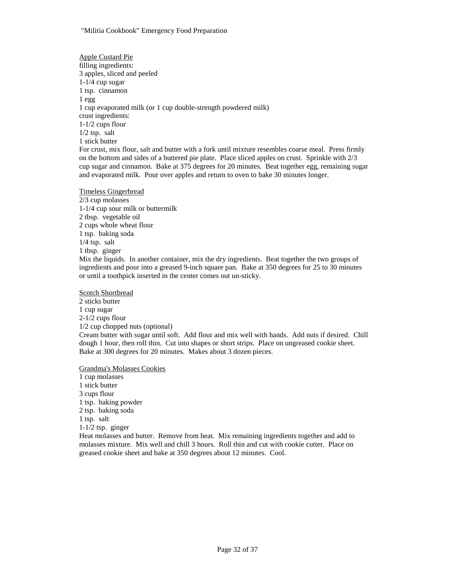Apple Custard Pie filling ingredients: 3 apples, sliced and peeled 1-1/4 cup sugar 1 tsp. cinnamon 1 egg 1 cup evaporated milk (or 1 cup double-strength powdered milk) crust ingredients: 1-1/2 cups flour 1/2 tsp. salt 1 stick butter For crust, mix flour, salt and butter with a fork until mixture resembles coarse meal. Press firmly on the bottom and sides of a buttered pie plate. Place sliced apples on crust. Sprinkle with 2/3

cup sugar and cinnamon. Bake at 375 degrees for 20 minutes. Beat together egg, remaining sugar and evaporated milk. Pour over apples and return to oven to bake 30 minutes longer.

### Timeless Gingerbread

2/3 cup molasses 1-1/4 cup sour milk or buttermilk 2 tbsp. vegetable oil 2 cups whole wheat flour 1 tsp. baking soda 1/4 tsp. salt 1 tbsp. ginger Mix the liquids. In another container, mix the dry ingredients. Beat together the two groups of ingredients and pour into a greased 9-inch square pan. Bake at 350 degrees for 25 to 30 minutes or until a toothpick inserted in the center comes out un-sticky.

Scotch Shortbread 2 sticks butter 1 cup sugar 2-1/2 cups flour 1/2 cup chopped nuts (optional) Cream butter with sugar until soft. Add flour and mix well with hands. Add nuts if desired. Chill dough 1 hour, then roll thin. Cut into shapes or short strips. Place on ungreased cookie sheet. Bake at 300 degrees for 20 minutes. Makes about 3 dozen pieces.

Grandma's Molasses Cookies

1 cup molasses 1 stick butter 3 cups flour 1 tsp. baking powder 2 tsp. baking soda 1 tsp. salt 1-1/2 tsp. ginger

Heat molasses and butter. Remove from heat. Mix remaining ingredients together and add to molasses mixture. Mix well and chill 3 hours. Roll thin and cut with cookie cutter. Place on greased cookie sheet and bake at 350 degrees about 12 minutes. Cool.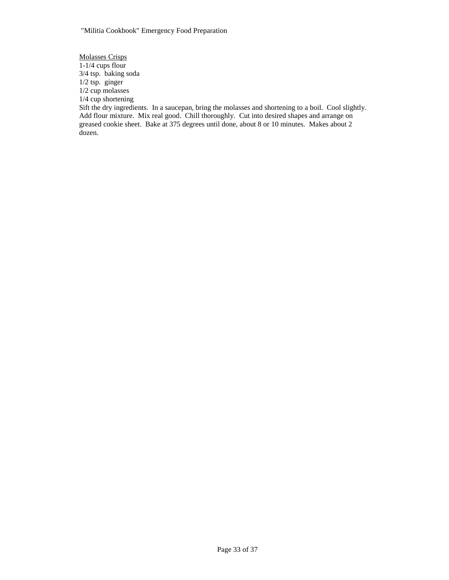Molasses Crisps  $1-1/4$  cups flour 3/4 tsp. baking soda 1/2 tsp. ginger 1/2 cup molasses 1/4 cup shortening

Sift the dry ingredients. In a saucepan, bring the molasses and shortening to a boil. Cool slightly. Add flour mixture. Mix real good. Chill thoroughly. Cut into desired shapes and arrange on greased cookie sheet. Bake at 375 degrees until done, about 8 or 10 minutes. Makes about 2 dozen.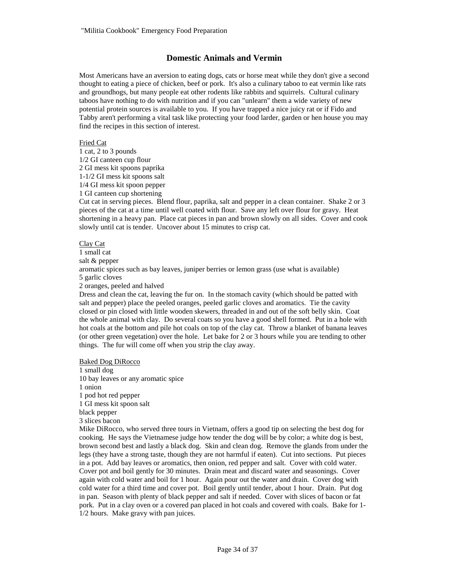# **Domestic Animals and Vermin**

Most Americans have an aversion to eating dogs, cats or horse meat while they don't give a second thought to eating a piece of chicken, beef or pork. It's also a culinary taboo to eat vermin like rats and groundhogs, but many people eat other rodents like rabbits and squirrels. Cultural culinary taboos have nothing to do with nutrition and if you can "unlearn" them a wide variety of new potential protein sources is available to you. If you have trapped a nice juicy rat or if Fido and Tabby aren't performing a vital task like protecting your food larder, garden or hen house you may find the recipes in this section of interest.

### Fried Cat

1 cat, 2 to 3 pounds 1/2 GI canteen cup flour 2 GI mess kit spoons paprika 1-1/2 GI mess kit spoons salt 1/4 GI mess kit spoon pepper 1 GI canteen cup shortening

Cut cat in serving pieces. Blend flour, paprika, salt and pepper in a clean container. Shake 2 or 3 pieces of the cat at a time until well coated with flour. Save any left over flour for gravy. Heat shortening in a heavy pan. Place cat pieces in pan and brown slowly on all sides. Cover and cook slowly until cat is tender. Uncover about 15 minutes to crisp cat.

### Clay Cat

1 small cat

salt & pepper

aromatic spices such as bay leaves, juniper berries or lemon grass (use what is available) 5 garlic cloves

2 oranges, peeled and halved

Dress and clean the cat, leaving the fur on. In the stomach cavity (which should be patted with salt and pepper) place the peeled oranges, peeled garlic cloves and aromatics. Tie the cavity closed or pin closed with little wooden skewers, threaded in and out of the soft belly skin. Coat the whole animal with clay. Do several coats so you have a good shell formed. Put in a hole with hot coals at the bottom and pile hot coals on top of the clay cat. Throw a blanket of banana leaves (or other green vegetation) over the hole. Let bake for 2 or 3 hours while you are tending to other things. The fur will come off when you strip the clay away.

Baked Dog DiRocco 1 small dog 10 bay leaves or any aromatic spice 1 onion 1 pod hot red pepper 1 GI mess kit spoon salt black pepper 3 slices bacon

Mike DiRocco, who served three tours in Vietnam, offers a good tip on selecting the best dog for cooking. He says the Vietnamese judge how tender the dog will be by color; a white dog is best, brown second best and lastly a black dog. Skin and clean dog. Remove the glands from under the legs (they have a strong taste, though they are not harmful if eaten). Cut into sections. Put pieces in a pot. Add bay leaves or aromatics, then onion, red pepper and salt. Cover with cold water. Cover pot and boil gently for 30 minutes. Drain meat and discard water and seasonings. Cover again with cold water and boil for 1 hour. Again pour out the water and drain. Cover dog with cold water for a third time and cover pot. Boil gently until tender, about 1 hour. Drain. Put dog in pan. Season with plenty of black pepper and salt if needed. Cover with slices of bacon or fat pork. Put in a clay oven or a covered pan placed in hot coals and covered with coals. Bake for 1- 1/2 hours. Make gravy with pan juices.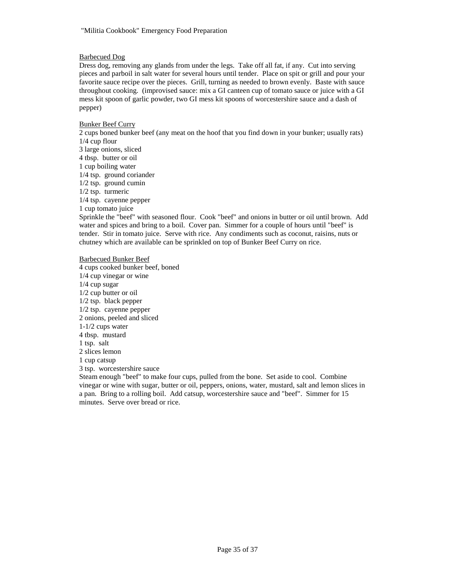### Barbecued Dog

Dress dog, removing any glands from under the legs. Take off all fat, if any. Cut into serving pieces and parboil in salt water for several hours until tender. Place on spit or grill and pour your favorite sauce recipe over the pieces. Grill, turning as needed to brown evenly. Baste with sauce throughout cooking. (improvised sauce: mix a GI canteen cup of tomato sauce or juice with a GI mess kit spoon of garlic powder, two GI mess kit spoons of worcestershire sauce and a dash of pepper)

### Bunker Beef Curry

2 cups boned bunker beef (any meat on the hoof that you find down in your bunker; usually rats) 1/4 cup flour

3 large onions, sliced 4 tbsp. butter or oil 1 cup boiling water 1/4 tsp. ground coriander 1/2 tsp. ground cumin 1/2 tsp. turmeric 1/4 tsp. cayenne pepper 1 cup tomato juice

Sprinkle the "beef" with seasoned flour. Cook "beef" and onions in butter or oil until brown. Add water and spices and bring to a boil. Cover pan. Simmer for a couple of hours until "beef" is tender. Stir in tomato juice. Serve with rice. Any condiments such as coconut, raisins, nuts or chutney which are available can be sprinkled on top of Bunker Beef Curry on rice.

#### Barbecued Bunker Beef 4 cups cooked bunker beef, boned

1/4 cup vinegar or wine 1/4 cup sugar 1/2 cup butter or oil 1/2 tsp. black pepper 1/2 tsp. cayenne pepper 2 onions, peeled and sliced 1-1/2 cups water 4 tbsp. mustard 1 tsp. salt 2 slices lemon 1 cup catsup 3 tsp. worcestershire sauce

Steam enough "beef" to make four cups, pulled from the bone. Set aside to cool. Combine vinegar or wine with sugar, butter or oil, peppers, onions, water, mustard, salt and lemon slices in a pan. Bring to a rolling boil. Add catsup, worcestershire sauce and "beef". Simmer for 15 minutes. Serve over bread or rice.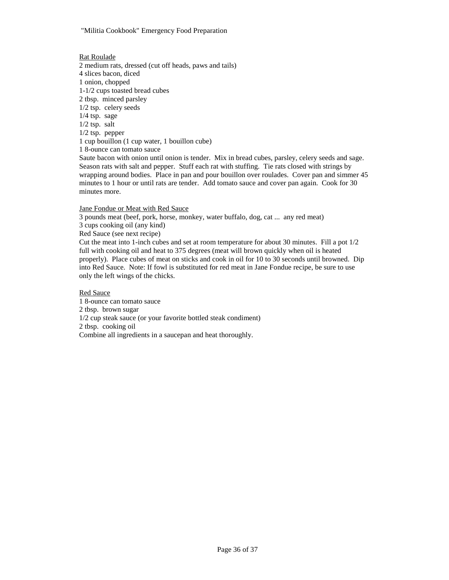"Militia Cookbook" Emergency Food Preparation

### Rat Roulade

2 medium rats, dressed (cut off heads, paws and tails) 4 slices bacon, diced 1 onion, chopped 1-1/2 cups toasted bread cubes 2 tbsp. minced parsley 1/2 tsp. celery seeds 1/4 tsp. sage 1/2 tsp. salt 1/2 tsp. pepper 1 cup bouillon (1 cup water, 1 bouillon cube) 1 8-ounce can tomato sauce Saute bacon with onion until onion is tender. Mix in bread cubes, parsley, celery seeds and sage.

Season rats with salt and pepper. Stuff each rat with stuffing. Tie rats closed with strings by wrapping around bodies. Place in pan and pour bouillon over roulades. Cover pan and simmer 45 minutes to 1 hour or until rats are tender. Add tomato sauce and cover pan again. Cook for 30 minutes more.

Jane Fondue or Meat with Red Sauce

3 pounds meat (beef, pork, horse, monkey, water buffalo, dog, cat ... any red meat)

3 cups cooking oil (any kind)

Red Sauce (see next recipe)

Cut the meat into 1-inch cubes and set at room temperature for about 30 minutes. Fill a pot 1/2 full with cooking oil and heat to 375 degrees (meat will brown quickly when oil is heated properly). Place cubes of meat on sticks and cook in oil for 10 to 30 seconds until browned. Dip into Red Sauce. Note: If fowl is substituted for red meat in Jane Fondue recipe, be sure to use only the left wings of the chicks.

Red Sauce

1 8-ounce can tomato sauce 2 tbsp. brown sugar 1/2 cup steak sauce (or your favorite bottled steak condiment) 2 tbsp. cooking oil Combine all ingredients in a saucepan and heat thoroughly.